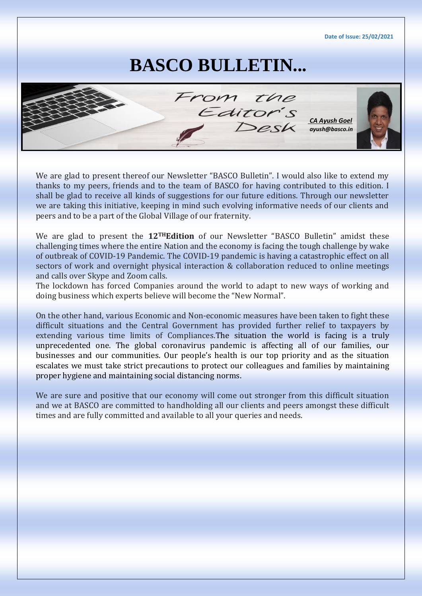**Date of Issue: 25/02/2021**

## **BASCO BULLETIN...**



We are glad to present thereof our Newsletter "BASCO Bulletin". I would also like to extend my thanks to my peers, friends and to the team of BASCO for having contributed to this edition. I shall be glad to receive all kinds of suggestions for our future editions. Through our newsletter we are taking this initiative, keeping in mind such evolving informative needs of our clients and peers and to be a part of the Global Village of our fraternity.

We are glad to present the **12THEdition** of our Newsletter "BASCO Bulletin" amidst these challenging times where the entire Nation and the economy is facing the tough challenge by wake of outbreak of COVID-19 Pandemic. The COVID-19 pandemic is having a catastrophic effect on all sectors of work and overnight physical interaction & collaboration reduced to online meetings and calls over Skype and Zoom calls.

The lockdown has forced Companies around the world to adapt to new ways of working and doing business which experts believe will become the "New Normal".

On the other hand, various Economic and Non-economic measures have been taken to fight these difficult situations and the Central Government has provided further relief to taxpayers by extending various time limits of Compliances.The situation the world is facing is a truly unprecedented one. The global coronavirus pandemic is affecting all of our families, our businesses and our communities. Our people's health is our top priority and as the situation escalates we must take strict precautions to protect our colleagues and families by maintaining proper hygiene and maintaining social distancing norms.

We are sure and positive that our economy will come out stronger from this difficult situation and we at BASCO are committed to handholding all our clients and peers amongst these difficult times and are fully committed and available to all your queries and needs.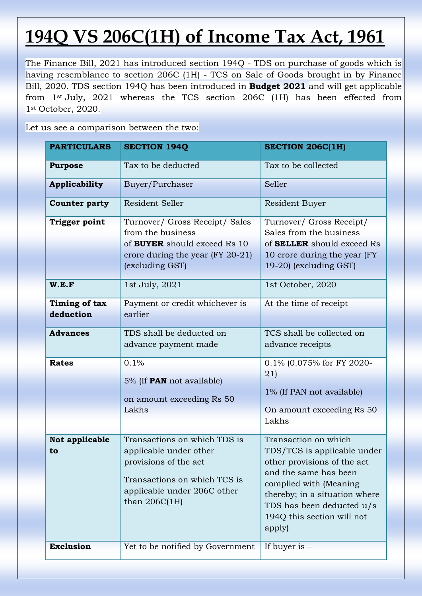# **194Q VS 206C(1H) of Income Tax Act, 1961**

The Finance Bill, 2021 has introduced section 194Q - TDS on purchase of goods which is having resemblance to section 206C (1H) - TCS on Sale of Goods brought in by Finance Bill, 2020. TDS section 194Q has been introduced in **Budget 2021** and will get applicable from 1st July, 2021 whereas the TCS section 206C (1H) has been effected from 1st October, 2020.

Let us see a comparison between the two:

| <b>PARTICULARS</b>                            | <b>SECTION 194Q</b>                                                                                                                                                 | <b>SECTION 206C(1H)</b>                                                                                                                                                                                                                     |  |
|-----------------------------------------------|---------------------------------------------------------------------------------------------------------------------------------------------------------------------|---------------------------------------------------------------------------------------------------------------------------------------------------------------------------------------------------------------------------------------------|--|
| <b>Purpose</b>                                | Tax to be deducted                                                                                                                                                  | Tax to be collected                                                                                                                                                                                                                         |  |
| Applicability                                 | Buyer/Purchaser                                                                                                                                                     | Seller                                                                                                                                                                                                                                      |  |
| <b>Counter party</b>                          | Resident Seller                                                                                                                                                     | Resident Buyer                                                                                                                                                                                                                              |  |
| <b>Trigger point</b><br>W.E.F                 | Turnover/ Gross Receipt/ Sales<br>from the business<br>of <b>BUYER</b> should exceed Rs 10<br>crore during the year (FY 20-21)<br>(excluding GST)<br>1st July, 2021 | Turnover/ Gross Receipt/<br>Sales from the business<br>of SELLER should exceed Rs<br>10 crore during the year (FY)<br>19-20) (excluding GST)<br>1st October, 2020                                                                           |  |
| Timing of tax<br>deduction<br><b>Advances</b> | Payment or credit whichever is<br>earlier<br>TDS shall be deducted on                                                                                               | At the time of receipt<br>TCS shall be collected on                                                                                                                                                                                         |  |
|                                               | advance payment made                                                                                                                                                | advance receipts                                                                                                                                                                                                                            |  |
| <b>Rates</b>                                  | 0.1%<br>5% (If <b>PAN</b> not available)<br>on amount exceeding Rs 50<br>Lakhs                                                                                      | 0.1% (0.075% for FY 2020-<br>(21)<br>1% (If PAN not available)<br>On amount exceeding Rs 50<br>Lakhs                                                                                                                                        |  |
| Not applicable<br>to                          | Transactions on which TDS is<br>applicable under other<br>provisions of the act<br>Transactions on which TCS is<br>applicable under 206C other<br>than $206C(1H)$   | Transaction on which<br>TDS/TCS is applicable under<br>other provisions of the act<br>and the same has been<br>complied with (Meaning<br>thereby; in a situation where<br>TDS has been deducted u/s<br>194Q this section will not<br>apply) |  |
| <b>Exclusion</b>                              | Yet to be notified by Government                                                                                                                                    | If buyer is $-$                                                                                                                                                                                                                             |  |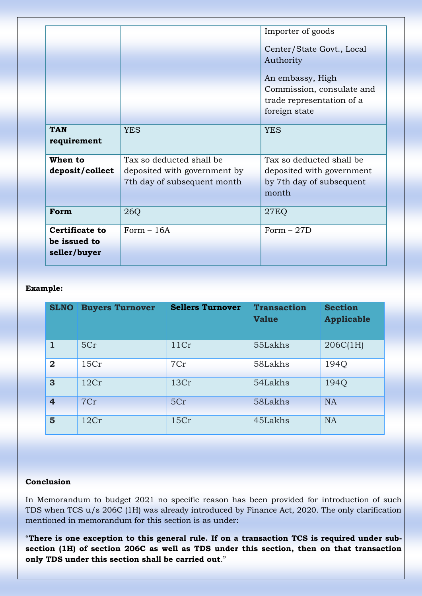|                       | Importer of goods            |                           |  |
|-----------------------|------------------------------|---------------------------|--|
|                       |                              |                           |  |
|                       |                              | Center/State Govt., Local |  |
|                       |                              | Authority                 |  |
|                       |                              |                           |  |
|                       |                              | An embassy, High          |  |
|                       |                              | Commission, consulate and |  |
|                       |                              | trade representation of a |  |
|                       |                              | foreign state             |  |
|                       |                              |                           |  |
| <b>TAN</b>            | <b>YES</b>                   | <b>YES</b>                |  |
| requirement           |                              |                           |  |
| When to               | Tax so deducted shall be     | Tax so deducted shall be  |  |
| deposit/collect       | deposited with government by | deposited with government |  |
|                       | 7th day of subsequent month  | by 7th day of subsequent  |  |
|                       |                              | month                     |  |
|                       |                              |                           |  |
| Form                  | 26Q                          | <b>27EQ</b>               |  |
|                       |                              |                           |  |
| <b>Certificate to</b> | Form $-16A$                  | Form $-27D$               |  |
| be issued to          |                              |                           |  |
| seller/buyer          |                              |                           |  |
|                       |                              |                           |  |

#### **Example:**

| <b>SLNO</b>             | <b>Buyers Turnover</b> | <b>Sellers Turnover</b> | <b>Transaction</b><br><b>Value</b> | <b>Section</b><br><b>Applicable</b> |
|-------------------------|------------------------|-------------------------|------------------------------------|-------------------------------------|
| $\mathbf{1}$            | 5Cr                    | 11Cr                    | 55Lakhs                            | 206C(1H)                            |
| $\overline{\mathbf{2}}$ | 15Cr                   | 7Cr                     | 58Lakhs                            | 194Q                                |
| 3                       | 12Cr                   | 13Cr                    | 54Lakhs                            | 194Q                                |
| $\overline{4}$          | 7Cr                    | 5Cr                     | 58Lakhs                            | <b>NA</b>                           |
| 5                       | 12Cr                   | 15Cr                    | 45Lakhs                            | <b>NA</b>                           |

#### **Conclusion**

In Memorandum to budget 2021 no specific reason has been provided for introduction of such TDS when TCS u/s 206C (1H) was already introduced by Finance Act, 2020. The only clarification mentioned in memorandum for this section is as under:

"**There is one exception to this general rule. If on a transaction TCS is required under subsection (1H) of section 206C as well as TDS under this section, then on that transaction only TDS under this section shall be carried out**."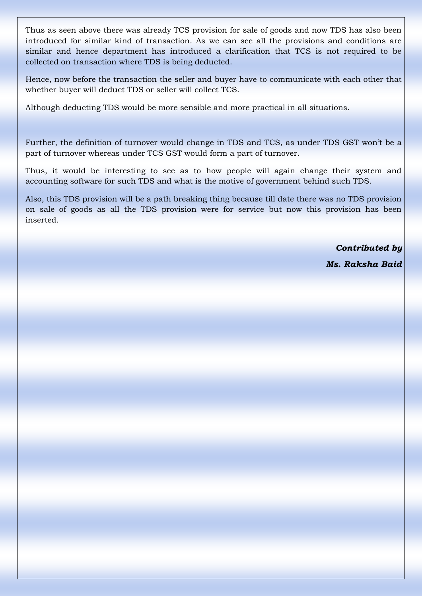Thus as seen above there was already TCS provision for sale of goods and now TDS has also been introduced for similar kind of transaction. As we can see all the provisions and conditions are similar and hence department has introduced a clarification that TCS is not required to be collected on transaction where TDS is being deducted.

Hence, now before the transaction the seller and buyer have to communicate with each other that whether buyer will deduct TDS or seller will collect TCS.

Although deducting TDS would be more sensible and more practical in all situations.

Further, the definition of turnover would change in TDS and TCS, as under TDS GST won't be a part of turnover whereas under TCS GST would form a part of turnover.

Thus, it would be interesting to see as to how people will again change their system and accounting software for such TDS and what is the motive of government behind such TDS.

Also, this TDS provision will be a path breaking thing because till date there was no TDS provision on sale of goods as all the TDS provision were for service but now this provision has been inserted.

*Contributed by*

*Ms. Raksha Baid*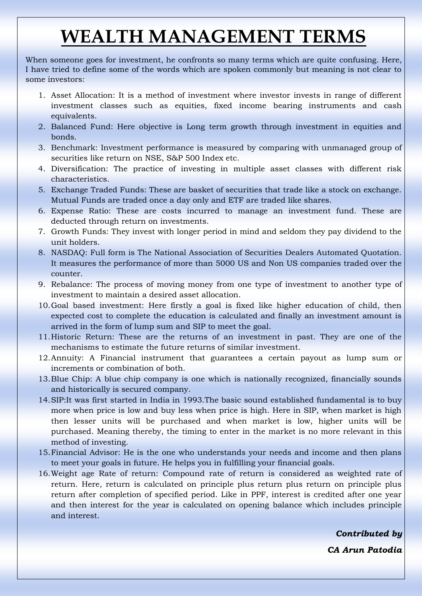## **WEALTH MANAGEMENT TERMS**

When someone goes for investment, he confronts so many terms which are quite confusing. Here, I have tried to define some of the words which are spoken commonly but meaning is not clear to some investors:

- 1. Asset Allocation: It is a method of investment where investor invests in range of different investment classes such as equities, fixed income bearing instruments and cash equivalents.
- 2. Balanced Fund: Here objective is Long term growth through investment in equities and bonds.
- 3. Benchmark: Investment performance is measured by comparing with unmanaged group of securities like return on NSE, S&P 500 Index etc.
- 4. Diversification: The practice of investing in multiple asset classes with different risk characteristics.
- 5. Exchange Traded Funds: These are basket of securities that trade like a stock on exchange. Mutual Funds are traded once a day only and ETF are traded like shares.
- 6. Expense Ratio: These are costs incurred to manage an investment fund. These are deducted through return on investments.
- 7. Growth Funds: They invest with longer period in mind and seldom they pay dividend to the unit holders.
- 8. NASDAQ: Full form is The National Association of Securities Dealers Automated Quotation. It measures the performance of more than 5000 US and Non US companies traded over the counter.
- 9. Rebalance: The process of moving money from one type of investment to another type of investment to maintain a desired asset allocation.
- 10.Goal based investment: Here firstly a goal is fixed like higher education of child, then expected cost to complete the education is calculated and finally an investment amount is arrived in the form of lump sum and SIP to meet the goal.
- 11.Historic Return: These are the returns of an investment in past. They are one of the mechanisms to estimate the future returns of similar investment.
- 12.Annuity: A Financial instrument that guarantees a certain payout as lump sum or increments or combination of both.
- 13.Blue Chip: A blue chip company is one which is nationally recognized, financially sounds and historically is secured company.
- 14[.SIP:It](sip:It) was first started in India in 1993.The basic sound established fundamental is to buy more when price is low and buy less when price is high. Here in SIP, when market is high then lesser units will be purchased and when market is low, higher units will be purchased. Meaning thereby, the timing to enter in the market is no more relevant in this method of investing.
- 15.Financial Advisor: He is the one who understands your needs and income and then plans to meet your goals in future. He helps you in fulfilling your financial goals.
- 16.Weight age Rate of return: Compound rate of return is considered as weighted rate of return. Here, return is calculated on principle plus return plus return on principle plus return after completion of specified period. Like in PPF, interest is credited after one year and then interest for the year is calculated on opening balance which includes principle and interest.

*Contributed by CA Arun Patodia*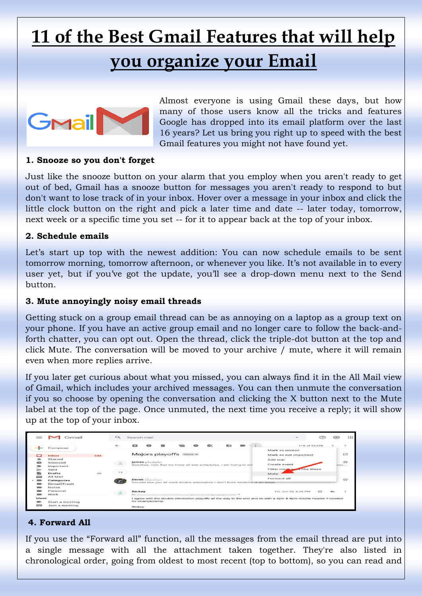# **11 of the Best Gmail Features that will help**

## **you organize your Email**



Almost everyone is using Gmail these days, but how many of those users know all the tricks and features Google has dropped into its email platform over the last 16 years? Let us bring you right up to speed with the best Gmail features you might not have found yet.

#### **1. Snooze so you don't forget**

Just like the snooze button on your alarm that you employ when you aren't ready to get out of bed, Gmail has a snooze button for messages you aren't ready to respond to but don't want to lose track of in your inbox. Hover over a message in your inbox and click the little clock button on the right and pick a later time and date -- later today, tomorrow, next week or a specific time you set -- for it to appear back at the top of your inbox.

#### **2. Schedule emails**

Let's start up top with the newest addition: You can now schedule emails to be sent tomorrow morning, tomorrow afternoon, or whenever you like. It's not available in to every user yet, but if you've got the update, you'll see a drop-down menu next to the Send button.

#### **3. Mute annoyingly noisy email threads**

Getting stuck on a group email thread can be as annoying on a laptop as a group text on your phone. If you have an active group email and no longer care to follow the back-andforth chatter, you can opt out. Open the thread, click the triple-dot button at the top and click Mute. The conversation will be moved to your archive / mute, where it will remain even when more replies arrive.

If you later get curious about what you missed, you can always find it in the All Mail view of Gmail, which includes your archived messages. You can then unmute the conversation if you so choose by opening the conversation and clicking the X button next to the Mute label at the top of the page. Once unmuted, the next time you receive a reply; it will show up at the top of your inbox.

|        | Gmail                                  |     | $\circ$      | Search mail                                                                                                                                                            | ະ∙∃                                     | $\frac{1}{2}$                  |
|--------|----------------------------------------|-----|--------------|------------------------------------------------------------------------------------------------------------------------------------------------------------------------|-----------------------------------------|--------------------------------|
|        | Compose                                |     | $\leftarrow$ | <b>RECO</b><br><b>C3</b>                                                                                                                                               | 118 of 32,328                           | $\geq$                         |
| ۳      | Inbox                                  | 544 |              | Majors playoffs Inbox x                                                                                                                                                | Mark as unread<br>Mark as not important | C                              |
| *<br>œ | Starred<br>Snoozed<br>Important        |     | 르            | Coaches, now that we know all star schedules, i am trying to sch                                                                                                       | Add star<br>Create event                | $\overrightarrow{2}$<br>square |
|        | Sent<br><b>Drafts</b>                  | 39  | 12           |                                                                                                                                                                        | Filter merhand o like these<br>Mute     |                                |
|        | All Mail<br>Categories<br>[Gmail]Trash |     |              | Derek<br>Sounds like you all want double elimination.I don't think fieldtime is an issue.                                                                              | Forward all                             | $\rightarrow$                  |
|        | Notes<br>Personal                      |     |              | Rickey                                                                                                                                                                 | Fri, Jun 26, 8:38 PM<br>$\rightarrow$   |                                |
| Meet   | Work<br>Start a meeting                |     |              | $\mathbf{to}$ $\mathbf{t}$<br>I agree with the double elimination playoffs all the way to the end and ok with a 4pm & 6pm double header if needed<br>for championship. |                                         |                                |
| 13.33  | Join a meeting                         |     |              | Rickey                                                                                                                                                                 |                                         |                                |

#### **4. Forward All**

If you use the "Forward all" function, all the messages from the email thread are put into a single message with all the attachment taken together. They're also listed in chronological order, going from oldest to most recent (top to bottom), so you can read and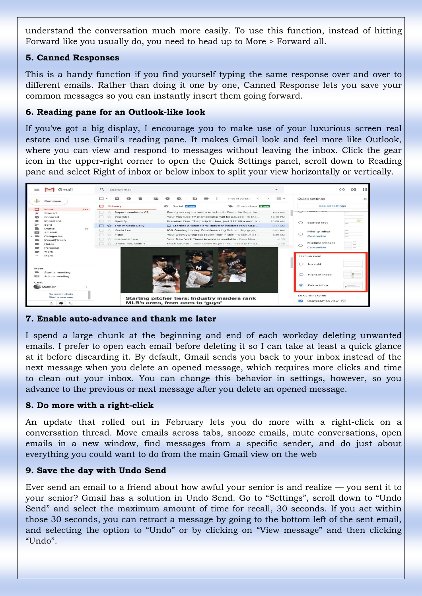understand the conversation much more easily. To use this function, instead of hitting Forward like you usually do, you need to head up to More > Forward all.

#### **5. Canned Responses**

This is a handy function if you find yourself typing the same response over and over to different emails. Rather than doing it one by one, Canned Response lets you save your common messages so you can instantly insert them going forward.

#### **6. Reading pane for an Outlook-like look**

If you've got a big display, I encourage you to make use of your luxurious screen real estate and use Gmail's reading pane. It makes Gmail look and feel more like Outlook, where you can view and respond to messages without leaving the inbox. Click the gear icon in the upper-right corner to open the Quick Settings panel, scroll down to Reading pane and select Right of inbox or below inbox to split your view horizontally or vertically.



#### **7. Enable auto-advance and thank me later**

I spend a large chunk at the beginning and end of each workday deleting unwanted emails. I prefer to open each email before deleting it so I can take at least a quick glance at it before discarding it. By default, Gmail sends you back to your inbox instead of the next message when you delete an opened message, which requires more clicks and time to clean out your inbox. You can change this behavior in settings, however, so you advance to the previous or next message after you delete an opened message.

#### **8. Do more with a right-click**

An update that rolled out in February lets you do more with a right-click on a conversation thread. Move emails across tabs, snooze emails, mute conversations, open emails in a new window, find messages from a specific sender, and do just about everything you could want to do from the main Gmail view on the web

#### **9. Save the day with Undo Send**

Ever send an email to a friend about how awful your senior is and realize — you sent it to your senior? Gmail has a solution in Undo Send. Go to "Settings", scroll down to "Undo Send" and select the maximum amount of time for recall, 30 seconds. If you act within those 30 seconds, you can retract a message by going to the bottom left of the sent email, and selecting the option to "Undo" or by clicking on "View message" and then clicking "Undo".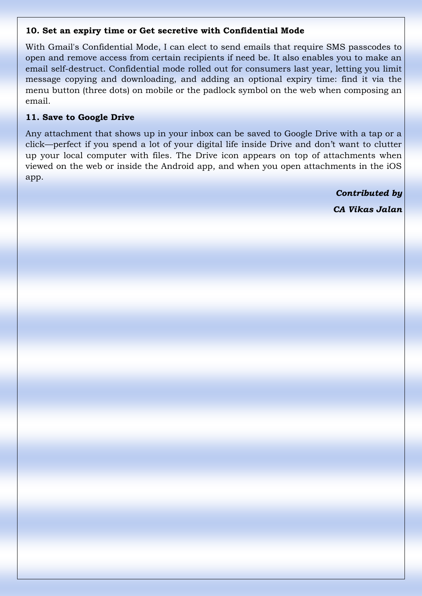#### **10. Set an expiry time or Get secretive with Confidential Mode**

With Gmail's Confidential Mode, I can elect to send emails that require SMS passcodes to open and remove access from certain recipients if need be. It also enables you to make an email self-destruct. Confidential mode rolled out for consumers last year, letting you limit message copying and downloading, and adding an optional expiry time: find it via the menu button (three dots) on mobile or the padlock symbol on the web when composing an email.

#### **11. Save to Google Drive**

Any attachment that shows up in your inbox can be saved to Google Drive with a tap or a click—perfect if you spend a lot of your digital life inside Drive and don't want to clutter up your local computer with files. The Drive icon appears on top of attachments when viewed on the web or inside the Android app, and when you open attachments in the iOS app.

> *Contributed by CA Vikas Jalan*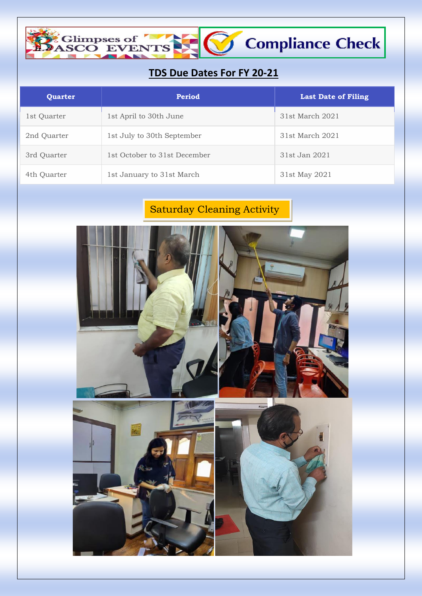### **TDS Due Dates For FY 20-21**

Compliance Check

Climpses of The Gaston Contractor

| Quarter     | <b>Period</b>                | <b>Last Date of Filing</b> |
|-------------|------------------------------|----------------------------|
| 1st Quarter | 1st April to 30th June       | 31st March 2021            |
| 2nd Quarter | 1st July to 30th September   | 31st March 2021            |
| 3rd Quarter | 1st October to 31st December | 31st Jan 2021              |
| 4th Quarter | 1st January to 31st March    | 31st May 2021              |

## Saturday Cleaning Activity